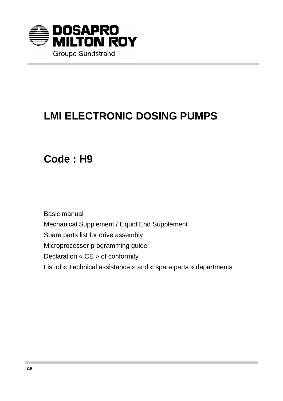

# **LMI ELECTRONIC DOSING PUMPS**

**Code : H9**

Basic manual Mechanical Supplement / Liquid End Supplement Spare parts list for drive assembly Microprocessor programming guide Declaration « CE » of conformity List of « Technical assistance » and « spare parts » departments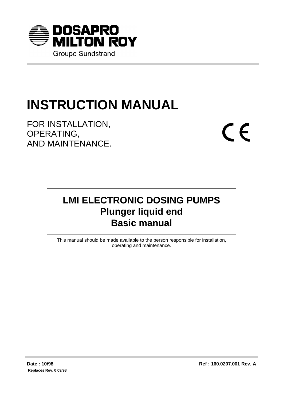

# **INSTRUCTION MANUAL**

FOR INSTALLATION, OPERATING, AND MAINTENANCE.  $C \in$ 

# **LMI ELECTRONIC DOSING PUMPS Plunger liquid end Basic manual**

This manual should be made available to the person responsible for installation, operating and maintenance.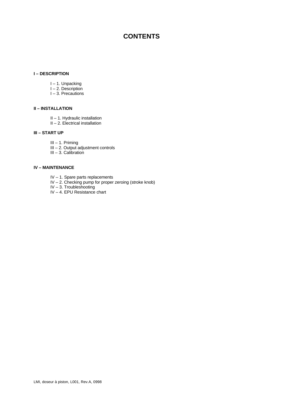# **CONTENTS**

#### **I – DESCRIPTION**

- I 1. Unpacking
- I 2. Description
- I 3. Precautions

#### **II – INSTALLATION**

- II 1. Hydraulic installation
- II 2. Electrical installation

#### **III – START UP**

- III 1. Priming
- III 2. Output adjustment controls
- III 3. Calibration

#### **IV – MAINTENANCE**

- IV 1. Spare parts replacements
- IV 2. Checking pump for proper zeroing (stroke knob)
- IV 3. Troubleshooting
- IV 4. EPU Resistance chart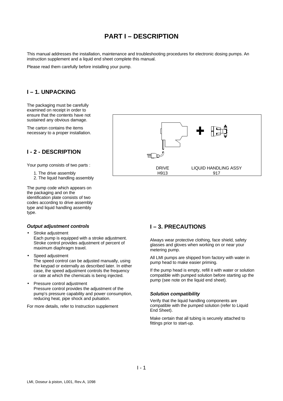# **PART I – DESCRIPTION**

This manual addresses the installation, maintenance and troubleshooting procedures for electronic dosing pumps. An instruction supplement and a liquid end sheet complete this manual.

Please read them carefully before installing your pump.

## **I – 1. UNPACKING**

The packaging must be carefully examined on receipt in order to ensure that the contents have not sustained any obvious damage.

The carton contains the items necessary to a proper installation.

## **I - 2 - DESCRIPTION**

Your pump consists of two parts :

- 1. The drive assembly
- 2. The liquid handling assembly

The pump code which appears on the packaging and on the identification plate consists of two codes according to drive assembly type and liquid handling assembly type.



#### *Output adjustment controls*

- Stroke adjustment Each pump is equipped with a stroke adjustment. Stroke control provides adjustment of percent of maximum diaphragm travel.
- Speed adjustment The speed control can be adjusted manually, using the keypad or externally as described later. In either case, the speed adjustment controls the frequency
- Pressure control adjustment Pressure control provides the adjustment of the pump's pressure capability and power consumption, reducing heat, pipe shock and pulsation.

or rate at which the chemicals is being injected.

For more details, refer to Instruction supplement

# **I – 3. PRECAUTIONS**

Always wear protective clothing, face shield, safety glasses and gloves when working on or near your metering pump.

All LMI pumps are shipped from factory with water in pump head to make easier priming.

If the pump head is empty, refill it with water or solution compatible with pumped solution before starting up the pump (see note on the liquid end sheet).

#### *Solution compatibility*

Verify that the liquid handling components are compatible with the pumped solution (refer to Liquid End Sheet).

Make certain that all tubing is securely attached to fittings prior to start-up.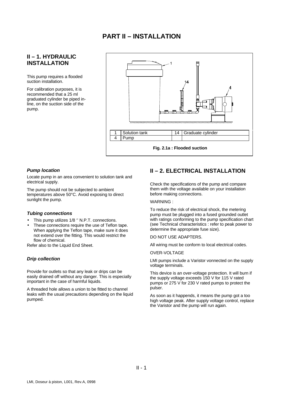## **II – 1. HYDRAULIC INSTALLATION**

This pump requires a flooded suction installation.

For calibration purposes, it is recommended that a 25 ml graduated cylinder be piped inline, on the suction side of the pump.



#### *Pump location*

Locate pump in an area convenient to solution tank and electrical supply.

The pump should not be subjected to ambient temperatures above 50°C. Avoid exposing to direct sunlight the pump.

#### *Tubing connections*

- This pump utilizes 1/8 " N.P.T. connections.
- These connections require the use of Teflon tape. When applying the Teflon tape, make sure it does not extend over the fitting. This would restrict the flow of chemical.

Refer also to the Liquid End Sheet.

#### *Drip collection*

Provide for outlets so that any leak or drips can be easily drained off without any danger. This is especially important in the case of harmful liquids.

A threaded hole allows a union to be fitted to channel leaks with the usual precautions depending on the liquid pumped.

# **II – 2. ELECTRICAL INSTALLATION**

Check the specifications of the pump and compare them with the voltage available on your installation before making connections.

#### WARNING :

To reduce the risk of electrical shock, the metering pump must be plugged into a fused grounded outlet with ratings conforming to the pump specification chart (see Technical characteristics : refer to peak power to determine the appropriate fuse size).

#### DO NOT USE ADAPTERS.

All wiring must be conform to local electrical codes.

#### OVER-VOLTAGE

LMI pumps include a Varistor vonnected on the supply voltage terminals.

This device is an over-voltage protection. It will burn if the supply voltage exceeds 150 V for 115 V rated pumps or 275 V for 230 V rated pumps to protect the pulser.

As soon as it happends, it means the pump got a too high voltage peak. After supply voltage control, replace the Varistor and the pump will run again.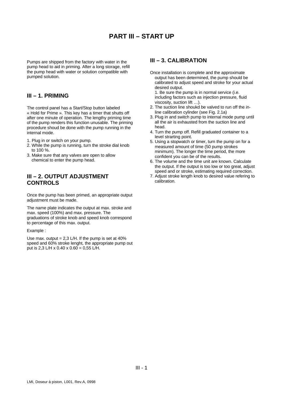# **PART III – START UP**

Pumps are shipped from the factory with water in the pump head to aid in priming. After a long storage, refill the pump head with water or solution compatible with pumped solution.

#### **III – 1. PRIMING**

The control panel has a Start/Stop button labeled « Hold for Prime ». This key has a timer that shutts off after one minute of operation. The lengthy priming time of the pump renders this function unusable. The priming procedure shoud be done with the pump running in the internal mode.

- 1. Plug in or switch on your pump.
- 2. While the pump is running, turn the stroke dial knob to 100 %.
- 3. Make sure that any valves are open to allow chemical to enter the pump head.

#### **III – 2. OUTPUT ADJUSTMENT CONTROLS**

Once the pump has been primed, an appropriate output adjustment must be made.

The name plate indicates the output at max. stroke and max. speed (100%) and max. pressure. The graduations of stroke knob and speed knob correspond to percentage of this max. output.

#### Example :

Use max. output =  $2,3$  L/H. If the pump is set at  $40\%$ speed and 60% stroke lenght, the appropriate pump out put is 2,3 L/H x 0.40 x 0.60 = 0,55 L/H.

#### **III – 3. CALIBRATION**

Once installation is complete and the approximate output has been determined, the pump should be calibrated to adjust speed and stroke for your actual desired output.

1. Be sure the pump is in normal service (i.e. including factors such as injection pressure, fluid viscosity, suction lift …).

- 2. The suction line shoukd be valved to run off the inline calibration cylinder (see Fig. 2.1a)
- 3. Plug in and switch pump to internal mode pump until all the air is exhausted from the suction line and head.
- 4. Turn the pump off. Refill graduated container to a level strarting point.
- 5. Using a stopwatch or timer, turn the pump on for a measured amount of time (50 pump strokes minimum). The longer the time period, the more confident you can be of the results.
- 6. The volume and the time unit are known. Calculate the output. If the output is too low or too great, adjust speed and or stroke, estimating required correction.
- 7. Adjust stroke length knob to desired value refering to calibration.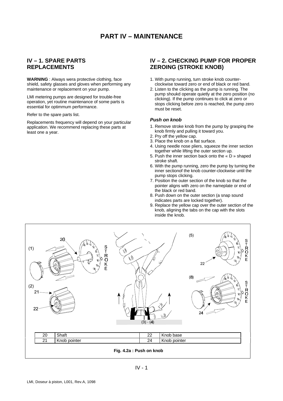#### **IV – 1. SPARE PARTS REPLACEMENTS**

**WARNING** : Always wera protective clothing, face shield, safety glasses and gloves when performing any maintenance or replacement on your pump.

LMI metering pumps are designed for trouble-free operation, yet routine maintenance of some parts is essential for optimmum performance.

#### Refer to the spare parts list.

Replacements frequency will depend on your particular application. We recommend replacing these parts at least one a year.

#### **IV – 2. CHECKING PUMP FOR PROPER ZEROING (STROKE KNOB)**

- 1. With pump running, turn stroke knob counterclockwise toward zero or end of black or red band.
- 2. Listen to the clicking as the pump is running. The pump shoukd operate quietly at the zero position (no clicking). If the pump continues to click at zero or stops clicking before zero is reached, the pump zero must be reset.

#### *Push on knob*

- 1. Remove stroke knob from the pump by grasping the knob firmly and pulling it toward you.
- 2. Pry off the yellow cap.
- 3. Place the knob on a flat surface.
- 4. Using needle nose pliers, squeeze the inner section together while lifting the outer section up.
- 5. Push the inner section back onto the « D » shaped stroke shaft.
- 6. With the pump running, zero the pump by turning the inner sectionof the knob counter-clockwise until the pump stops clicking.
- 7. Position the outer section of the knob so that the pointer aligns with zero on the nameplate or end of the black or red band.
- 8. Push down on the outer section (a snap sound indicates parts are locked together).
- 9. Replace the yellow cap over the outer section of the knob, aligning the tabs on the cap with the slots inside the knob.

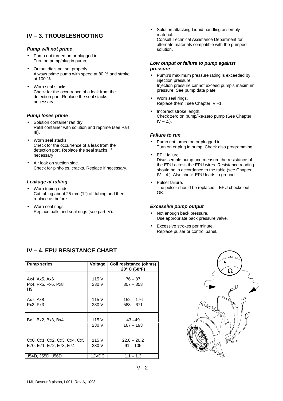# **IV – 3. TROUBLESHOOTING**

#### *Pump will not prime*

- Pump not turned on or plugged in. Turn on pump/plug in pump.
- Output dials not set properly. Always prime pump with speed at 80 % and stroke at 100 %.
- Worn seal stacks. Check for the occurrence of a leak from the detection port. Replace the seal stacks, if necessary.

#### *Pump loses prime*

- Solution container ran dry. Refill container with solution and reprime (see Part III).
- Worn seal stacks. Check for the occurrence of a leak from the detection port. Replace the seal stacks, if necessary.
- Air leak on suction side. Check for pinholes, cracks. Replace if necessary.

#### *Leakage at tubing*

- Worn tubing ends. Cut tubing about 25 mm (1'') off tubing and then replace as before.
- Worn seal rings. Replace balls and seal rings (see part IV).

• Solution attacking Liquid handling assembly material. Consult Technical Assistance Department for alternate materials compatible with the pumped solution.

#### *Low output or failure to pump against pressure*

- Pump's maximum pressure rating is exceeded by injection pressure. Injection pressure cannot exceed pump's maximum pressure. See pump data plate.
- Worn seal rings. Replace them : see Chapter IV –1.
- Incorrect stroke length. Check zero on pump/Re-zero pump (See Chapter  $IV - 2.$ ).

#### *Failure to run*

- Pump not turned on or plugged in. Turn on or plug in pump. Check also programming.
- EPU failure. Disassemble pump and measure the resistance of the EPU across the EPU wires. Resistance reading should be in accordance to the table (see Chapter IV – 4.). Also check EPU leads to ground.
- Pulser failure. The pulser should be replaced if EPU checks out OK.

#### *Excessive pump output*

- Not enough back pressure. Use appropriate back pressure valve.
- Excessive strokes per minute. Replace pulser or control panel.

| <b>Pump series</b>           | Voltage | Coil resistance (ohms)<br>$20^{\circ}$ C (68 $^{\circ}$ F) |
|------------------------------|---------|------------------------------------------------------------|
| Ax4, Ax5, Ax6                | 115 V   | $76 - 87$                                                  |
| Px4, Px5, Px6, Px8<br>H9     | 230 V   | $307 - 353$                                                |
| Ax7, Ax8                     | 115 V   | 152 – 176                                                  |
| Px2, Px3                     | 230 V   | $583 - 671$                                                |
| Bx1, Bx2, Bx3, Bx4           | 115 V   | $43 - 49$                                                  |
|                              | 230 V   | $167 - 193$                                                |
| Cx0, Cx1, Cx2, Cx3, Cx4, Cx5 | 115 V   | $22.8 - 26.2$                                              |
| E70, E71, E72, E73, E74      | 230 V   | $91 - 105$                                                 |
| J54D, J55D, J56D             | 12VDC   | $1.1 - 1.3$                                                |

# **IV – 4. EPU RESISTANCE CHART**

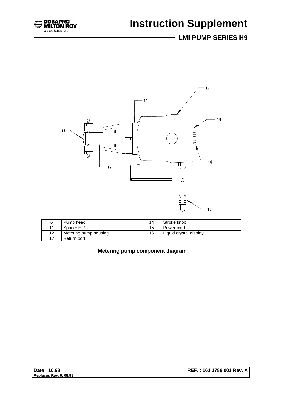

# **Instruction Supplement**

# **LMI PUMP SERIES H9**



|    | Pump head             | 14  | Stroke knob            |
|----|-----------------------|-----|------------------------|
|    | Spacer E.P.U.         | 15. | Power cord             |
| 12 | Metering pump housing | 16  | Liquid crystal display |
|    | Return port           |     |                        |

 **Metering pump component diagram**

| Date: 10.98            |  |
|------------------------|--|
| Replaces Rev. 0, 09.98 |  |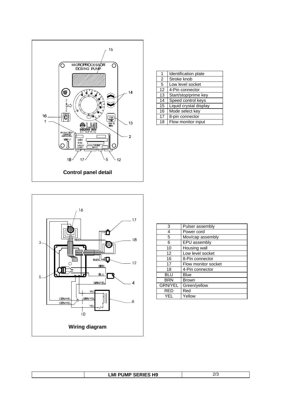

| 1  | Identification plate   |
|----|------------------------|
| 2  | Stroke knob            |
| 5  | Low level socket       |
| 12 | 4-Pin connector        |
| 13 | Start/stop/prime key   |
| 14 | Speed control keys     |
| 15 | Liquid crystal display |
| 16 | Mode select key        |
| 17 | 8-pin connector        |
| 18 | Flow monitor input     |



| 3              | Pulser assembly     |
|----------------|---------------------|
| 4              | Power cord          |
| 5              | Mov/cap assembly    |
| 6              | EPU assembly        |
| 10             | Housing wall        |
| 12             | Low level socket    |
| 16             | 8-Pin connector     |
| 17             | Flow monitor socket |
| 18             | 4-Pin connector     |
| BLU            | Blue                |
| <b>BRN</b>     | <b>Brown</b>        |
| <b>GRN/YEL</b> | Green/yellow        |
| RED            | Red                 |
| YFI            | Yellow              |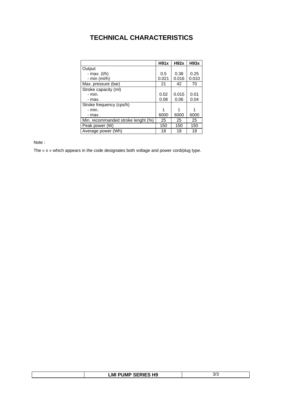# **TECHNICAL CHARACTERISTICS**

|                                    | H91x  | <b>H92x</b> | <b>H93x</b> |
|------------------------------------|-------|-------------|-------------|
| Output                             |       |             |             |
| - max. (l/h)                       | 0.5   | 0.38        | 0.25        |
| - min $(mI/h)$                     | 0.021 | 0.016       | 0.010       |
| Max. pressure (bar)                | 21    | 42          | 70          |
| Stroke capacity (ml)               |       |             |             |
| - min.                             | 0.02  | 0.015       | 0.01        |
| - max.                             | 0.08  | 0.06        | 0.04        |
| Stroke frequency (cps/h)           |       |             |             |
| - min.                             |       | 1           |             |
| - max.                             | 6000  | 6000        | 6000        |
| Min. recommanded stroke lenght (%) | 25    | 25          | 25          |
| Peak power (W)                     | 150   | 150         | 150         |
| Average power (Wh)                 | 18    | 18          | 18          |

Note :

The « x » which appears in the code designates both voltage and power cord/plug type.

| <b>LMI PUMP SERIES H9</b> | <u>_______________</u> |
|---------------------------|------------------------|
|                           | ٽ /ٽ                   |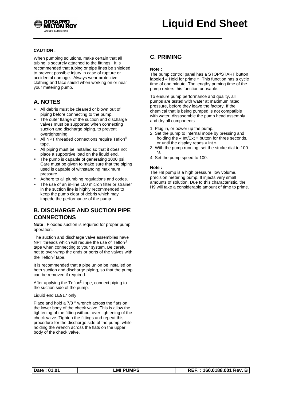

#### **CAUTION :**

When pumping solutions, make certain that all tubing is securely attached to the fittings. It is recommended that tubing or pipe lines be shielded to prevent possible injury in case of rupture or accidental damage. Always wear protective clothing and face shield when working on or near your metering pump.

# **A. NOTES**

- All debris must be cleaned or blown out of piping before connecting to the pump.
- The outer flange of the suction and discharge valves must be supported when connecting suction and discharge piping, to prevent overtightening.
- All NPT threaded connections require Teflon<sup>®</sup> tape.
- All piping must be installed so that it does not place a supportive load on the liquid end.
- The pump is capable of generating 1000 psi. Care must be given to make sure that the piping used is capable of withstanding maximum pressure.
- Adhere to all plumbing regulations and codes.
- The use of an in-line 100 micron filter or strainer in the suction line is highly recommended to keep the pump clear of debris which may impede the performance of the pump.

## **B. DISCHARGE AND SUCTION PIPE CONNECTIONS**

**Note** : Flooded suction is required for proper pump operation.

The suction and discharge valve assemblies have NPT threads which will require the use of Teflon<sup>®</sup> tape when connecting to your system. Be careful not to over-wrap the ends or ports of the valves with the Teflon® tape.

It is recommended that a pipe union be installed on both suction and discharge piping, so that the pump can be removed if required.

After applying the Teflon® tape, connect piping to the suction side of the pump.

#### Liquid end LE917 only

Place and hold a 7/8 '' wrench across the flats on the lower body of the check valve. This is allow the tightening of the fitting without over tightening of the check valve. Tighten the fittings and repeat this procedure for the discharge side of the pump, while holding the wrench across the flats on the upper body of the check valve.

## **C. PRIMING**

#### **Note :**

The pump control panel has a STOP/START button labeled « Hold for prime ». This function has a cycle time of one minute. The lengthy priming time of the pump reders this function unusable.

To ensure pump performance and quality, all pumps are tested with water at maximum rated pressure, before they leave the factory. If the chemical that is being pumped is not compatible with water, dissasemble the pump head assembly and dry all components.

- 1. Plug in, or power up the pump.
- 2. Set the pump to internal mode by pressing and holding the « Int/Ext » button for three seconds, or until the display reads « int ».
- 3. With the pump running, set the stroke dial to 100 %.
- 4. Set the pump speed to 100.

#### **Note :**

The H9 pump is a high pressure, low volume, precision metering pump. It injects very small amounts of solution. Due to this characteristic, the H9 will take a considerable amount of time to prime.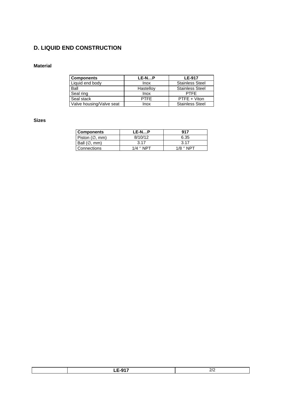# **D. LIQUID END CONSTRUCTION**

#### **Material**

| <b>Components</b>        | LE-NP       | <b>LE-917</b>          |
|--------------------------|-------------|------------------------|
| Liquid end body          | Inox        | <b>Stainless Steel</b> |
| Ball                     | Hastelloy   | <b>Stainless Steel</b> |
| Seal ring                | Inox        | <b>PTFF</b>            |
| Seal stack               | <b>PTFF</b> | PTFE + Viton           |
| Valve housing/Valve seat | Inox        | <b>Stainless Steel</b> |

#### **Sizes**

| Components                      | LE-NP            | 917         |
|---------------------------------|------------------|-------------|
| Piston $(\emptyset, \text{mm})$ | 8/10/12          | 6.35        |
| Ball $(\emptyset, mn)$          | 3.17             | 3.17        |
| Connections                     | $1/\Delta$ " NPT | $1/8$ " NPT |

| $ -$<br>-- |  |
|------------|--|
|            |  |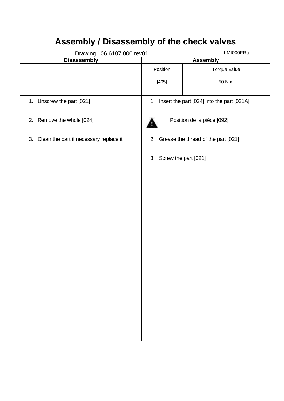| Assembly / Disassembly of the check valves   |                            |                                               |  |
|----------------------------------------------|----------------------------|-----------------------------------------------|--|
| LMI000FRa<br>Drawing 106.6107.000 rev01      |                            |                                               |  |
| <b>Disassembly</b>                           |                            | <b>Assembly</b>                               |  |
|                                              | Position                   | Torque value                                  |  |
|                                              | [405]                      | 50 N.m                                        |  |
| 1. Unscrew the part [021]                    |                            | 1. Insert the part [024] into the part [021A] |  |
| 2. Remove the whole [024]                    |                            | Position de la pièce [092]                    |  |
| Clean the part if necessary replace it<br>3. |                            | 2. Grease the thread of the part [021]        |  |
|                                              | Screw the part [021]<br>3. |                                               |  |
|                                              |                            |                                               |  |
|                                              |                            |                                               |  |
|                                              |                            |                                               |  |
|                                              |                            |                                               |  |
|                                              |                            |                                               |  |
|                                              |                            |                                               |  |
|                                              |                            |                                               |  |
|                                              |                            |                                               |  |
|                                              |                            |                                               |  |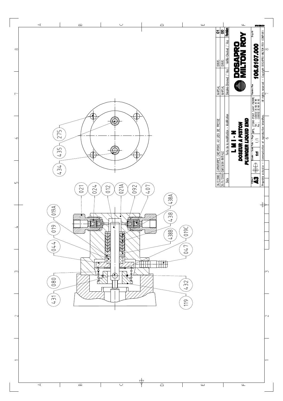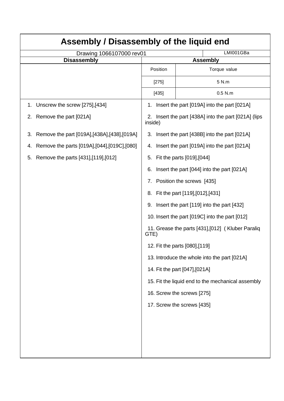| Assembly / Disassembly of the liquid end            |                                                           |                                                   |  |
|-----------------------------------------------------|-----------------------------------------------------------|---------------------------------------------------|--|
| Drawing 1066107000 rev01                            | LMI001GBa                                                 |                                                   |  |
| <b>Disassembly</b>                                  |                                                           | <b>Assembly</b>                                   |  |
|                                                     | Position                                                  | Torque value                                      |  |
|                                                     | [275]                                                     | 5 N.m                                             |  |
|                                                     | [435]                                                     | $0.5$ N.m                                         |  |
| Unscrew the screw [275],[434]<br>1.                 | 1.                                                        | Insert the part [019A] into the part [021A]       |  |
| Remove the part [021A]<br>2.                        | 2.<br>inside)                                             | Insert the part [438A] into the part [021A] (lips |  |
| Remove the part [019A], [438A], [438], [019A]<br>3. | 3.                                                        | Insert the part [438B] into the part [021A]       |  |
| Remove the parts [019A], [044], [019C], [080]<br>4. | 4.                                                        | Insert the part [019A] into the part [021A]       |  |
| Remove the parts [431],[119],[012]<br>5.            | 5.                                                        | Fit the parts [019], [044]                        |  |
|                                                     | 6.                                                        | Insert the part [044] into the part [021A]        |  |
|                                                     | 7.                                                        | Position the screws [435]                         |  |
|                                                     | 8.                                                        | Fit the part [119], [012], [431]                  |  |
|                                                     | Insert the part [119] into the part [432]<br>9.           |                                                   |  |
|                                                     | 10. Insert the part [019C] into the part [012]            |                                                   |  |
|                                                     | 11. Grease the parts [431], [012] (Kluber Paraliq<br>GTE) |                                                   |  |
|                                                     | 12. Fit the parts [080],[119]                             |                                                   |  |
|                                                     |                                                           | 13. Introduce the whole into the part [021A]      |  |
|                                                     |                                                           | 14. Fit the part [047], [021A]                    |  |
|                                                     | 15. Fit the liquid end to the mechanical assembly         |                                                   |  |
|                                                     | 16. Screw the screws [275]                                |                                                   |  |
|                                                     |                                                           | 17. Screw the screws [435]                        |  |
|                                                     |                                                           |                                                   |  |
|                                                     |                                                           |                                                   |  |
|                                                     |                                                           |                                                   |  |
|                                                     |                                                           |                                                   |  |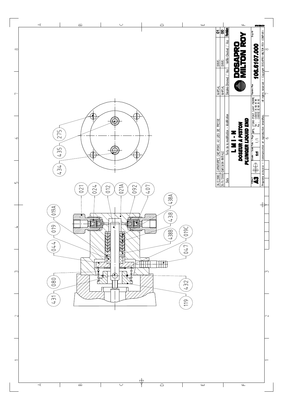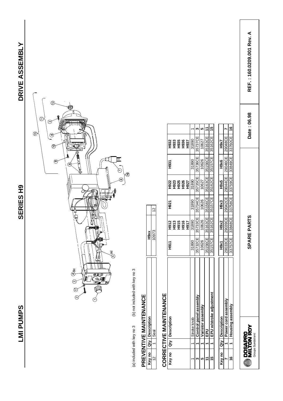LMI PUMPS

**SERIES H9** 



(b) not included with key no 3 (a) included with key no 3 (b) not included with key no 3 (a) included with key no 3

# PREVENTIVE MAINTENANCE **PREVENTIVE MAINTENANCE**

|                                                                                                                                      |  | ś<br>i |   |
|--------------------------------------------------------------------------------------------------------------------------------------|--|--------|---|
| l<br>$\mathcal{L}^{\text{max}}_{\text{max}}$ and $\mathcal{L}^{\text{max}}_{\text{max}}$ and $\mathcal{L}^{\text{max}}_{\text{max}}$ |  | î      | I |
|                                                                                                                                      |  |        |   |

# CORRECTIVE MAINTENANCE **CORRECTIVE MAINTENANCE**

| Key no      |   | <b>Jescription</b>      | <b>HOH</b> |                                  | <b>H921</b> | H922                 | <b>H931</b> |                                     |    |
|-------------|---|-------------------------|------------|----------------------------------|-------------|----------------------|-------------|-------------------------------------|----|
|             |   |                         |            | 요 ? \$ \$ \$ \$<br>호 \$ \$ \$ \$ |             |                      |             | 요 8 % % % %<br>오 요 요 % %<br>오 오 오 오 |    |
|             |   |                         |            |                                  |             | 23<br>28<br>29<br>29 |             |                                     |    |
|             |   |                         |            |                                  |             |                      |             |                                     |    |
|             |   |                         |            |                                  |             | H927                 |             |                                     |    |
|             |   | Stroke knob             | 31890      | 31890                            | 31890       | 31890                | 31890       | 31890                               |    |
|             |   | control panel assembly. | 35732CE    | 35733CE                          | 35734CE     | 35735CE              | 35736CE     | 35737CE                             |    |
|             |   | aristor assembly        | 10626      | 10626                            | 10626       | 10627                | 10626       | 10627                               | ۱Ω |
|             |   | ᇍ                       | 35156CE    | 35163CE                          | 35156CE     | 35163CE              | 35156CE     | 35163CE                             | H  |
|             |   | EPU w/stroke adjustment | 35157CE    | 35162CE                          |             | 35157CE 35162CE      | 35157CE     | 35162CE                             | 15 |
|             |   |                         |            |                                  |             |                      |             |                                     |    |
| .<br>.<br>. | j | ha an a-sheacha an      | Linw1      | م<br>سا                          | مى<br>1     | Joys                 | Joue        | ロヘップ                                |    |

|  | nomol.  | <b>H</b> 9X1 | <b>H9x2</b> | H <sub>9x3</sub> | <b>H9x5</b> | $\frac{6}{2}$ | <b>LXGH</b> |   |
|--|---------|--------------|-------------|------------------|-------------|---------------|-------------|---|
|  | er cord | 29033CE      | 29039CE     | 79042CE          | 29044CE     | 39046CE       | 29048CE     |   |
|  |         | 33757CE      | 33848CE     | 83758CE          | 33759CE     | 13849CE       | 33760CE     | Ë |



**SPARE PARTS Date : 06.98 REF. : 160.0209.001 Rev. A** SPARE PARTS

Date: 06.98

REF.: 160.0209.001 Rev. A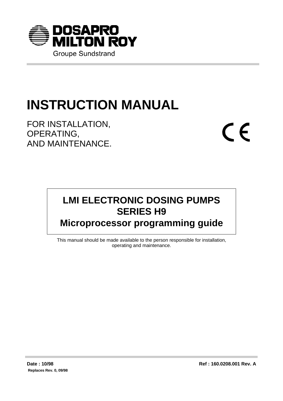

# **INSTRUCTION MANUAL**

FOR INSTALLATION, OPERATING, AND MAINTENANCE.  $C \in$ 

# **LMI ELECTRONIC DOSING PUMPS SERIES H9 Microprocessor programming guide**

This manual should be made available to the person responsible for installation, operating and maintenance.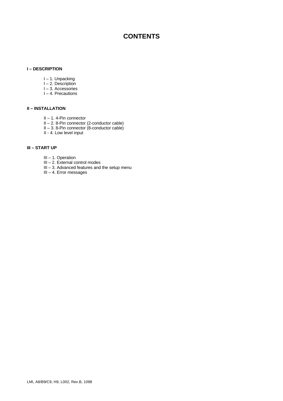# **CONTENTS**

#### **I – DESCRIPTION**

- I 1. Unpacking
- I 2. Description
- I 3. Accessories
- I 4. Precautions

#### **II – INSTALLATION**

- II 1. 4-Pin connector
- II 2. 8-Pin connector (2-conductor cable)
- II 3. 8-Pin connector (8-conductor cable)
- II 4. Low level input

#### **III – START UP**

- III 1. Operation
- III 2. External control modes
- III 3. Advanced features and the setup menu
- III 4. Error messages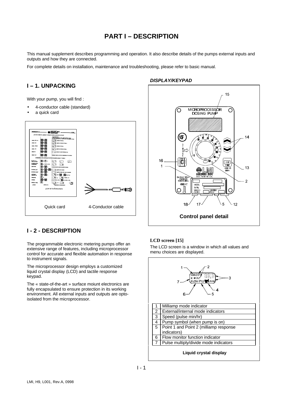# **PART I – DESCRIPTION**

This manual supplement describes programming and operation. It also describe details of the pumps external inputs and outputs and how they are connected.

For complete details on installation, maintenance and troubleshooting, please refer to basic manual.

#### **I – 1. UNPACKING**

With your pump, you will find :

- 4-conductor cable (standard)
- a quick card



#### *DISPLAY/KEYPAD*



## **I - 2 - DESCRIPTION**

The programmable electronic metering pumps offer an extensive range of features, including microprocessor control for accurate and flexible automation in response to instrument signals.

The microprocessor design employs a customized liquid crystal display (LCD) and tactile response keypad.

The « state-of-the-art » surface moiunt electronics are fully encapsulated to ensure protection in its working environment. All external inputs and outputs are optoisolated from the microprocessor.

#### **LCD screen [15]**

The LCD screen is a window in which all values and menu choices are displayed.

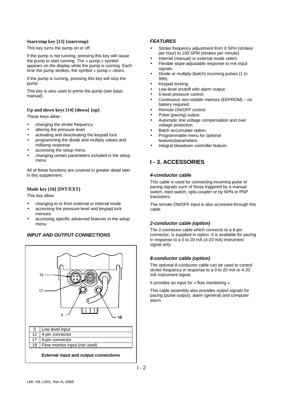#### **Start/stop key [13] {start/stop}**

This key turns the pump on or off.

If the pump is not running, pressing this key will cause the pump to start running. The « pump » symbol appears on the display while the pump is running. Each time the pump strokes, the symbol « pump » clears.

If the pump is running, pressing this key will stop the pump

This key is also used to prime the pump (see basic manual).

#### **Up and down keys [14] {down} {up}**

These keys allow :

- changing the stroke frequency
- altering the pressure level
- activating and deactivating the keypad lock
- programming the divide and multiply values and milliamp response
- accessing the setup menu
- changing certain parameters included in the setup menu

All of these functions are covered in greater detail later in this supplement.

#### **Mode key [16] {INT/EXT}**

This key allow

- changing to or from external or internal mode
- accessing the pressure level and keypad lock menues
- accessing specific advanced features in the setup menu

#### *INPUT AND OUTPUT CONNECTIONS*



#### *FEATURES*

- Stroke frequency adjustment from 0 SPH (strokes per hour) to 100 SPM (strokes per minute).
- Internal (manual) or external mode select.
- Flexible slope adjustable response to mA input signals.
- Divide or multiply (batch) incoming pulses (1 to 999).
- Keypad locking.
- Low-level shutoff with alarm output.
- 6-level pressure control.
- Continuous non-volatile memory (EEPROM) no battery required.
- Remote ON/OFF control.
- Pulse (pacing) output.
- Automatic line voltage compensation and over voltage protection.
- Batch accumulate option.
- Programmable menu for optional features/parameters.
- Integral blowdown controller feature.

# **I - 3. ACCESSORIES**

#### *4-conductor cable*

This cable is used for connecting incoming pulse or pacing signals such of those triggered by a manual switch, reed switch, opto-coupler or by NPN or PNP transistors.

The remote ON/OFF input is also accessed through this cable.

#### *2-conductor cable (option)*

The 2-connector cable which connects to a 8-pin connector, is supplied in option. It is available for pacing in response to a 0 to 20 mA (4-20 mA) instrument signal only.

#### *8-conductor cable (option)*

The optional 8-conductor cable can be used to control stroke frequency in response to a 0 to 20 mA or 4-20 mA instrument signal.

It provides an input for « flow monitoring ».

This cable assembly also provides output signals for pacing (pulse output), alarm (general) and computer alarm.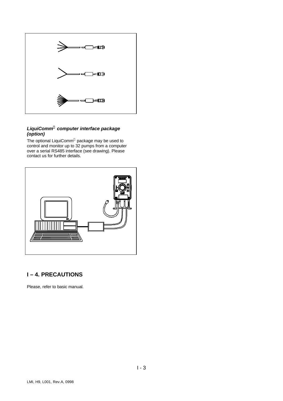

#### *LiquiComm<sup>Ò</sup> computer interface package (option)*

The optional LiquiComm® package may be used to control and monitor up to 32 pumps from a computer over a serial RS485 interface (see drawing). Please contact us for further details.



# **I – 4. PRECAUTIONS**

Please, refer to basic manual.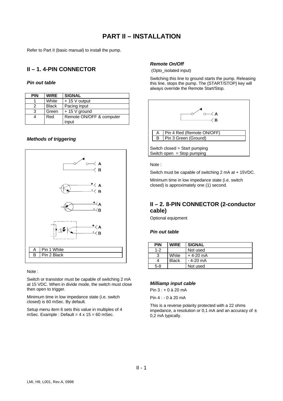# **PART II – INSTALLATION**

Refer to Part II (basic manual) to install the pump.

# **II – 1. 4-PIN CONNECTOR**

#### *Pin out table*

| <b>PIN</b> | <b>WIRE</b>  | <b>SIGNAL</b>                     |
|------------|--------------|-----------------------------------|
|            | White        | $+15$ V output                    |
| 2          | <b>Black</b> | Pacing input                      |
| 3          | Green        | $+15$ V ground                    |
|            | Red          | Remote ON/OFF & computer<br>input |

#### *Methods of triggering*



Note :

Switch or transistor must be capable of switching 2 mA at 15 VDC. When in divide mode, the switch must close then open to trigger.

Minimum time in low impedance state (i.e. switch closed) is 60 mSec. By default.

Setup menu item 6 sets this value in multiples of 4 mSec. Example : Default =  $4 \times 15 = 60$  mSec.

#### *Remote On/Off*

(Opto\_isolated input)

Switching this line to ground starts the pump. Releasing this line, stops the pump. The {START/STOP} key will always override the Remote Start/Stop.



Note :

Switch must be capable of switching 2 mA at + 15VDC.

Minimum time in low impedance state (i.e. switch closed) is approximately one (1) second.

#### **II – 2. 8-PIN CONNECTOR (2-conductor cable)**

Optional equipment

#### *Pin out table*

| <b>PIN</b> | <b>WIRE</b>  | <b>SIGNAL</b> |
|------------|--------------|---------------|
| $1 - 2$    |              | Not used      |
| 3          | White        | + 4-20 mA     |
|            | <b>Black</b> | - 4-20 mA     |
| $5 - 8$    |              | Not used      |

#### *Milliamp input cable*

Pin  $3 : + 0$  à 20 mA

Pin 4 : - 0 à 20 mA

This is a reverse polarity protected with a 22 ohms impedance, a resolution or 0.1 mA and an accuracy of  $\pm$ 0,2 mA typically.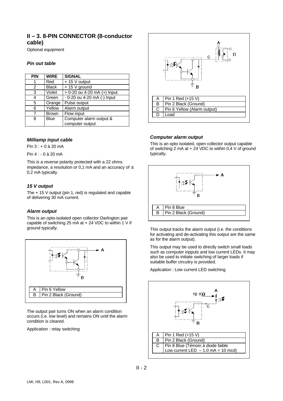# **II – 3. 8-PIN CONNECTOR (8-conductor cable)**

Optional equipment

#### *Pin out table*

| <b>PIN</b> | <b>WIRE</b>  | <b>SIGNAL</b>               |
|------------|--------------|-----------------------------|
| 1          | Red          | $+15$ V output              |
| 2          | <b>Black</b> | $+ 15 V$ ground             |
| 3          | Violet       | + 0-20 ou 4-20 mA (+) Input |
| 4          | Green        | - 0-20 ou 4-20 mA (-) Input |
| 5          | Orange       | Pulse output                |
| 6          | Yellow       | Alarm output                |
| 7          | <b>Brown</b> | Flow input                  |
| 8          | Blue         | Computer alarm output &     |
|            |              | computer output             |

#### *Milliamp input cable*

Pin 3 : + 0 à 20 mA

Pin 4 : - 0 à 20 mA

This is a reverse polarity protected with a 22 ohms impedance, a resolution or 0,1 mA and an accuracy of  $\pm$ 0,2 mA typically.

#### *15 V output*

The + 15 V output (pin 1, red) is regulated and capable of delivering 30 mA current.

#### *Alarm output*

This is an opto-isolated open collector Darlington pair capable of switching 25 mA at  $+$  24 VDC to within 1 V if ground typically.



The output pair turns ON when an alarm condition occurs (i.e. low level) and remains ON until the alarm condition is cleared.

Application : relay switching



#### *Computer alarm output*

This is an opto isolated, open collector output capable of switching 2 mA at + 24 VDC to within 0,4 V of ground typically.



This output tracks the alarm output (i.e. the conditions for activating and de-activating this output are the same as for the alarm output).

This output may be used to directly switch small loads such as computer inpputs and low current LEDs. It may also be used to initiate switching of larger loads if suitable buffer circuitry is provided.

Application : Low current LED switching

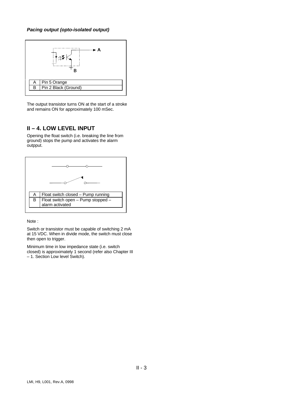#### *Pacing output (opto-isolated output)*



The output transistor turns ON at the start of a stroke and remains ON for approximately 100 mSec.

#### **II – 4. LOW LEVEL INPUT**

Opening the float switch (i.e. breaking the line from ground) stops the pump and activates the alarm outpput.



Note :

Switch or transistor must be capable of switching 2 mA at 15 VDC. When in divide mode, the switch must close then open to trigger.

Minimum time in low impedance state (i.e. switch closed) is approximately 1 second (refer also Chapter III – 1. Section Low level Switch).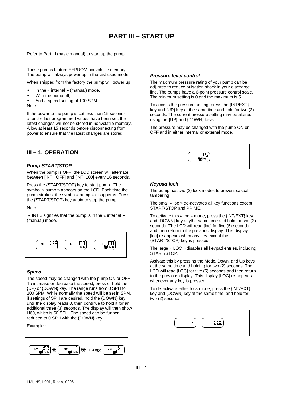# **PART III – START UP**

Refer to Part III (basic manual) to start up the pump.

These pumps feature EEPROM nonvolatile memory. The pump will always power up in the last used mode.

When shipped from the factory the pump will power up

- In the « internal » (manual) mode,
- With the pump off,
- And a speed setting of 100 SPM.

Note :

If the power to the pump is cut less than 15 seconds after the last programmed values have been set, the latest changes will not be stored in nonvolatile memory. Allow at least 15 seconds before disconnecting from power to ensure that the latest changes are stored.

## **III – 1. OPERATION**

#### *Pump START/STOP*

When the pump is OFF, the LCD screen will alternate between [INT OFF] and [INT 100] every 16 seconds.

Press the {START/STOP} key to start pump. The symbol « pump » appears on the LCD. Each time the pump strokes, the symbo « pump » disapperas. Press the {START/STOP} key again to stop the pump.

#### Note :

 « INT » signifies that the pump is in the « internal » (manual) mode.



#### *Speed*

The speed may be changed with the pump ON or OFF. To increase or decrease the speed, press or hold the {UP} or {DOWN} key. The range runs from 0 SPH to 100 SPM. While normally the speed will be set in SPM, if settings of SPH are desired, hold the {DOWN} key until the display reads 0, then continue to hold it for an additional three (3) seconds. The display will then show H60, which is 60 SPH. The speed can be further reduced to 0 SPH with the {DOWN} key.

Example :



#### *Pressure level control*

The maximum pressure rating of your pump can be adjusted to reduce pulsation shock in your discharge line. The pumps have a 6-point pressure control scale. The minimum setting is 0 and the maximum is 5.

To access the pressure setting, press the {INT/EXT} key and {UP} key at the same time and hold for two (2) seconds. The current pressure setting may be altered using the {UP} and {DOWN} keys.

The pressure may be changed with the pump ON or OFF and in either internal or external mode.



#### *Keypad lock*

The pump has two (2) lock modes to prevent casual tampering.

The small « loc » de-activates all key functions except START/STOP and PRIME.

To activate this « loc » mode, press the {INT/EXT} key and {DOWN} key at ythe same time and hold for two (2) seconds. The LCD will read [loc] for five (5) seconds and then return to the previous display. This display [loc] re-appears when any key except the {START/STOP} key is pressed.

The large « LOC » disables all keypad entries, including START/STOP.

Activate this by pressing the Mode, Down, and Up keys at the same time and holding for two (2) seconds. The LCD will read [LOC] for five (5) seconds and then return to the previous display. This display [LOC] re-appears whenever any key is pressed.

To de-activate either lock mode, press the {INT/EXT} key and {DOWN} key at the same time, and hold for two (2) seconds.

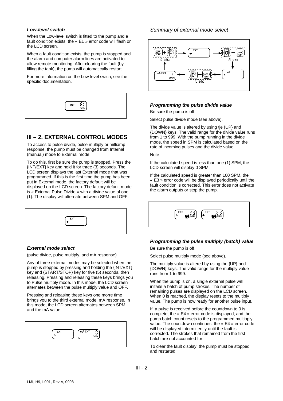#### *Low-level switch*

When the Low-level switch is fitted to the pump and a fault condition exists, the « E1 » error code will flash on the LCD screen.

When a fault condition exists, the pump is stopped and the alarm and computer alarm lines are activated to allow remote monitoring. After clearing the fault (by filling the tank), the pump will automatically restart.

For more information on the Low-level swich, see the specific documentation.



#### **III – 2. EXTERNAL CONTROL MODES**

To access to pulse divide, pulse multiply or milliamp response, the pump must be changed from Internal (manual) mode to External mode.

To do this, first be sure the pump is stopped. Press the {INT/EXT} key and hold it for three (3) seconds. The LCD screen displays the last External mode that was programmed. If this is the first time the pump has been put in External mode, the factory default will be displayed on the LCD screen. The factory default mode is « External Pulse Divide » with a divide value of one (1). The display will alternate between SPM and OFF.

#### *External mode select*

(pulse divide, pulse multiply, and mA response)

Any of three external modes may be selected when the pump is stopped by pressing and holding the {INT/EXT} key and {START/STOP} key for five (5) seconds, then releasing. Pressing and releasing these keys brings you to Pulse multiply mode. In this mode, the LCD screen alternates between the pulse multiply value and OFF.

Pressing and releasing these keys one morre time brings you to the third external mode, mA response. In this mode, the LCD screen alternates between SPM and the mA value.

| mA EXT<br>- 17<br>EXT<br>v<br>۰.<br>/MIN |
|------------------------------------------|
|------------------------------------------|

#### *Summary of external mode select*



#### *Programming the pulse divide value*

Be sure the pump is off.

Select pulse divide mode (see above).

The divide value is altered by using tje {UP} and {DOWN} keys. The valid range for the divide value runs from 1 to 999. With the pump running in the divide mode, the speed in SPM is calculated based on the rate of incoming pulses and the divide value.

Note :

If the calculated speed is less than one (1) SPM, the LCD screen will display 0 SPM.

If the calculated speed is greater than 100 SPM, the « E3 » error code will be displayed periodically until the fault condition is corrected. This error does not activate the alarm outputs or stop the pump.



#### *Programming the pulse multiply (batch) value*

Be sure the pump is off.

Select pulse multiply mode (see above).

The multiply value is altered by using the {UP} and {DOWN} keys. The valid range for the multiply value runs from 1 to 999.

When the pump is on, a single external pulse will initaite a batch of pump strokes. The number of remaining pulses are displayed on the LCD screen. When 0 is reached, the display resets to the multiply value. The pump is now ready for another pulse input.

If a pulse is received before the countdown to 0 is complete, the « E4 » error code is displayed, and the pump batch count resets to the programmed multioply value. The countdown continues, the « E4 » error code will be displayed intermittently until the fault is corrected. The strokes that remained from the first batch are not accounted for.

To clear the fault display, the pump must be stopped and restarted.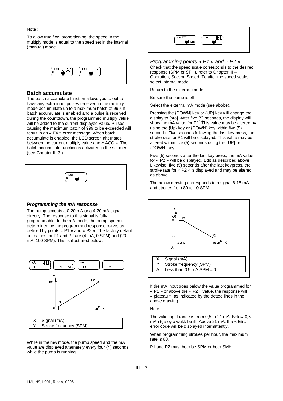#### Note :

To allow true flow proportioning, the speed in the multiply mode is equal to the speed set in the internal (manual) mode.



#### **Batch accumulate**

The batch accumulate function allows you to opt to have any extra input pulses received in the multiply mode accumultate up to a maximum batch of 999. If batch accumulate is enabled and a pulse is received during the countdown, the programmed multiply value will be added to the current displayed value. Pulses causing the maximum batch of 999 to be exceeded will result in an « E4 » error message. When batch accumulate is enabled, the LCD screen alternates between the current multiply value and « ACC ». The batch accumulate function is activated in the set menu (see Chapter III-3.).



#### *Programming the mA response*

The pump accepts a 0-20 mA or a 4-20 mA signal directly. The response to this signal is fully programmable. In the mA mode, the pump speed is determined by the programmed response curve, as defined by points « P1 » and « P2 ». The factory default set balues for P1 and P2 are (4 mA, 0 SPM) and (20 mA, 100 SPM). This is illustrated below.



While in the mA mode, the pump speed and the mA value are displayed alternately every four (4) seconds while the pump is running.



*Programming points « P1 » and « P2 »* Check that the speed scale corresponds to the desired response (SPM or SPH), refer to Chapter III – Operation, Section Speed. To alter the speed scale, select internal mode.

Return to the external mode.

Be sure the pump is off.

Select the external mA mode (see abobe).

Pressing the {DOWN] key or {UP} key will change the display to [pro]. After five (5) seconds, the display will show the mA value for P1. This value may be altered by using the {Up} key or {DOWN} key within five (5) seconds. Five seconds following the last key press, the stroke rate for P1 will be displayed. This value may be altered within five (5) seconds using the {UP} or {DOWN} key.

Five (5) seconds after the last key press, the mA value for « P2 » will be displayed. Edit as described above. Likewise, five (5) seocnds after the last keypress, the stroke rate for « P2 » is displayed and may be altered as above.

The below drawing corresponds to a signal 6-18 mA and strokes from 80 to 10 SPM.



If the mA input goes below the value programmed for « P1 » or above the « P2 » value, the response will « plateau », as indicated by the dotted lines in the above drawing.

Note :

The valid input range is from 0,5 to 21 mA. Below 0,5 mAn tge oylo wukk be iff. Above 21 mA, the « E5 » error code will be displayed intermittently.

When programming strokes per hour, the maximum rate is 60.

P1 and P2 must both be SPM or both SMH.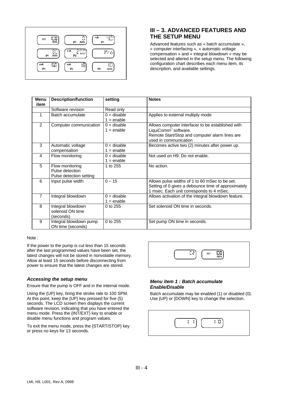

# **III – 3. ADVANCED FEATURES AND THE SETUP MENU**

Advanced features such as « batch accumulate », « computer interfacing », « automatic voltage compensation » and « integral blowdown » may be selected and altered in the setup menu. The following configuration chart describes each menu item, its description, and available settings.

| Menu<br>item   | <b>Description/function</b>                                   | setting                       | <b>Notes</b>                                                                                                                                                     |
|----------------|---------------------------------------------------------------|-------------------------------|------------------------------------------------------------------------------------------------------------------------------------------------------------------|
|                | Software revision                                             | Read only                     |                                                                                                                                                                  |
| 1              | Batch accumulate                                              | $0 =$ disable<br>$1 =$ enable | Applies to external multiply mode                                                                                                                                |
| 2              | Computer communication                                        | $0 =$ disable<br>$1 =$ enable | Allows computer interfacer to be established with<br>LiquiComm <sup>®</sup> software.<br>Remote Start/Stop and computer alarm lines are<br>used in communication |
| 3              | Automatic voltage<br>compensation                             | $0 =$ disable<br>$1 =$ enable | Becomes active two (2) minutes after power up.                                                                                                                   |
| 4              | Flow monitoring                                               | $0 =$ disable<br>$1 =$ enable | Not used on H9. Do not enable.                                                                                                                                   |
| 5              | Flow monitoring<br>Pulse detection<br>Pulse detection setting | 1 to 255                      | No action.                                                                                                                                                       |
| 6              | Input pulse width                                             | $0 - 15$                      | Allows pulse widths of 1 to 60 mSec to be set.<br>Setting of 0 gives a debounce time of approximately<br>1 msec. Each unit corresponds to 4 mSec.                |
| $\overline{7}$ | Integral blowdown                                             | $0 =$ disable<br>$1 =$ enable | Allows activation of the integral blowdown feature.                                                                                                              |
| 8              | Integral blowdown<br>solenoid ON time<br>(seconds)            | 0 to 255                      | Set solenoid ON time in seconds.                                                                                                                                 |
| 9              | Integral blowdown pump<br>ON time (seconds)                   | 0 to 255                      | Set pump ON time in seconds.                                                                                                                                     |

#### Note :

If the power to the pump is cut less than 15 seconds after the last programmed values have been set, the latest changes will not be stored in nonvolatile memory. Allow at least 15 seconds before disconnecting from power to ensure that the latest changes are stored.

#### *Accessing the setup menu*

Ensure that the pump is OFF and in the internal mode.

Using the {UP} key, bring the stroke rate to 100 SPM. At this point, keep the {UP} key pressed for five (5) seconds. The LCD screen then displays the current software revision, indicating that you have entered the menu mode. Press the {INT/EXT} key to enable or disable menu functions and program values.

To exit the menu mode, press the {START/STOP} key or press no keys for 13 seconds.



#### *Menu item 1 : Batch accumulate Enable/Disable*

Batch accumulate may be enabled (1) or disabled (0). Use {UP} or {DOWN} key to change the selection.

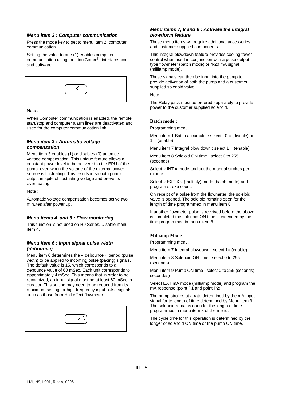#### *Menu item 2 : Computer communication*

Press the mode key to get to menu item 2, computer communication.

Setting the value to one (1) enables computer communication using the LiquiComm<sup>®</sup> interface box and software.



Note :

When Computer communication is enabled, the remote start/stop and computer alarm lines are deactivated and used for the computer communication link.

#### *Menu item 3 : Automatic voltage compensation*

Menu item 3 enables (1) or disables (0) automtic voltage compensation. This unique feature allows a constant power level to be delivered to the EPU of the pump, even when the voltage of the external power source is fluctuating. This results in smooth pump output in spite of fluctuating voltage and prevents overheating.

Note :

Automatic voltage compensation becomes active two minutes after power up.

#### *Menu items 4 and 5 : Flow monitoring*

This function is not used on H9 Series. Disable menu item 4.

#### *Menu item 6 : Input signal pulse width (debounce)*

Menu item 6 determines the « debounce » period (pulse width) to be applied to incoming pulse (pacing) signals. The default value is 15, which corresponds to a debounce value of 60 mSec. Each unit corresponds to apporximately 4 mSec. This means that in order to be recognized, an input signal must be at least 60 mSec in duration.This setting may need to be reduced from its maximum setting for high frequency input pulse signals such as those from Hall effect flowmeter.



#### *Menu items 7, 8 and 9 : Activate the integral blowdown feature*

These menu items will require additional accessories and customer supplied components.

This integral blowdown feature provides cooling tower control when used in conjunction with a pulse output type flowmeter (batch mode) or 4-20 mA signal (milliamp mode).

These signals can then be input into the pump to provide activation of both the pump and a customer supplied solenoid valve.

Note :

The Relay pack must be ordered separately to provide power to the customer supplied solenoid.

#### **Batch mode :**

Programming menu,

Menu item 1 Batch accumulate select :  $0 = (distance)$  or  $1 = (enable)$ 

Menu item 7 Integral blow down : select  $1 = (enable)$ 

Menu item 8 Soleloid ON time : select 0 to 255 (seconds)

Select « INT » mode and set the manual strokes per minute.

Select « EXT X » (multiply) mode (batch mode) and program stroke count.

On receipt of a pulse from the flowmeter, the soleloid valve is opened. The soleloid remains open for the length of time programmed in menu item 8.

If another flowmeter pulse is received before the above is completed the solenoid ON time is extended by the time programmed in menu item 8

#### **Milliamp Mode**

Programming menu,

Menu item 7 Integral blowdown : select 1= (enable)

Menu item 8 Solenoid ON time : select 0 to 255 (seconds)

Menu item 9 Pump ON time : select 0 to 255 (seconds) secondes)

Select EXT mA mode (milliamp mode) and program the mA response (point P1 and point P2).

The pump strokes at a rate determined by the mA input signal for te length of time determined by Menu item 9. The solenoid remains open for the length of time programmed in menu item 8 of the menu.

The cycle time for this operation is determined by the longer of solenoid ON time or the pump ON time.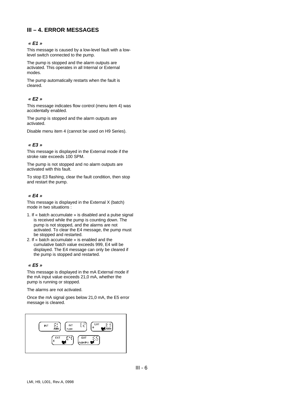# **III – 4. ERROR MESSAGES**

#### *« E1 »*

This message is caused by a low-level fault with a lowlevel switch connected to the pump.

The pump is stopped and the alarm outputs are activated. This operates in all Internal or External modes.

The pump automatically restarts when the fault is cleared.

#### *« E2 »*

This message indicates flow control (menu item 4) was accidentally enabled.

The pump is stopped and the alarm outputs are activated.

Disable menu item 4 (cannot be used on H9 Series).

#### *« E3 »*

This message is displayed in the External mode if the stroke rate exceeds 100 SPM.

The pump is not stopped and no alarm outputs are activated with this fault.

To stop E3 flashing, clear the fault condition, then stop and restart the pump.

#### *« E4 »*

This message is displayed in the External X (batch) mode in two situations :

- 1. If « batch accumulate » is disabled and a pulse signal is received while the pump is counting down. The pump is not stopped, and the alarms are not activated. To clear the E4 message, the pump must be stopped and restarted.
- 2. If « batch accumulate » is enabled and the cumulative batch value exceeds 999, E4 will be displayed. The E4 message can only be cleared if the pump is stopped and restarted.

#### *« E5 »*

This message is displayed in the mA External mode if the mA input value exceeds 21,0 mA, whether the pump is running or stopped.

The alarms are not activated.

Once the mA signal goes below 21,0 mA, the E5 error message is cleared.

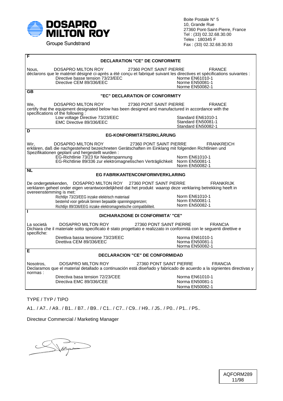

Groupe Sundstrand

Boite Postale N° 5 10, Grande Rue 27360 Pont-Saint-Pierre, France Tel : (33) 02.32.68.30.00 Telex : 180345 F Fax : (33) 02.32.68.30.93

| F<br><b>DECLARATION "CE" DE CONFORMITE</b>                                                                                                                                                                                                                                                                                                |                                                                        |  |  |  |
|-------------------------------------------------------------------------------------------------------------------------------------------------------------------------------------------------------------------------------------------------------------------------------------------------------------------------------------------|------------------------------------------------------------------------|--|--|--|
| 27360 PONT SAINT PIERRE<br>DOSAPRO MILTON ROY<br>Nous.<br>déclarons que le matériel désigné ci-après a été conçu et fabriqué suivant les directives et spécifications suivantes :<br>Directive basse tension 73/23/EEC<br>Directive CEM 89/336/EEC                                                                                        | <b>FRANCE</b><br>Norme EN61010-1<br>Norme EN50081-1<br>Norme EN50082-1 |  |  |  |
| $\overline{\mathsf{G}\mathsf{B}}$<br>"EC" DECLARATION OF CONFORMITY                                                                                                                                                                                                                                                                       |                                                                        |  |  |  |
| DOSAPRO MILTON ROY<br>27360 PONT SAINT PIERRE<br>We,<br>certify that the equipment designated below has been designed and manufactured in accordance with the<br>specifications of the following :                                                                                                                                        | <b>FRANCE</b>                                                          |  |  |  |
| Low voltage Directive 73/23/EEC<br>EMC Directive 89/336/EEC                                                                                                                                                                                                                                                                               | Standard EN61010-1<br>Standard EN50081-1<br>Standard EN50082-1         |  |  |  |
| D<br><b>EG-KONFORMITÄTSERKLÄRUNG</b>                                                                                                                                                                                                                                                                                                      |                                                                        |  |  |  |
| DOSAPRO MILTON ROY<br>27360 PONT SAINT PIERRE<br>Wir,<br>erklären, daß die nachgestehend bezeichneten Gerätschaften im Einklang mit folgenden Richtlinien und<br>Spezifikationen geplant und hergestellt wurden:<br>EG-Richtlinie 73/23 für Niederspannung<br>EG-Richtlinie 89/336 zur elektromagnetischen Verträglichkeit Norm EN50081-1 | <b>FRANKREICH</b><br>Norm EN61010-1<br>Norm EN50082-1                  |  |  |  |
| <b>NL</b><br><b>EG FABRIKANTENCONFORMVERKLARING</b>                                                                                                                                                                                                                                                                                       |                                                                        |  |  |  |
| DOSAPRO MILTON ROY 27360 PONT SAINT PIERRE<br>De ondergetekenden,<br>verklaren geheel onder eigen verantwoordelijkheid dat het produkt waarop deze verklaring betrekking heeft in<br>overeenstemming is met:                                                                                                                              | <b>FRANKRIJK</b>                                                       |  |  |  |
| Richtlijn 73/23/EEG inzake elektrisch materiaal<br>bestemd voor gebruik binnen bepaalde spanningsgrenzen;<br>Richtlijn 89/336/EEG inzake elektromagnetische compatibiliteit.                                                                                                                                                              | Norm EN61010-1<br>Norm EN50081-1<br>Norm EN50082-1                     |  |  |  |
| ı<br><b>DICHIARAZIONE DI CONFORMITA' "CE"</b>                                                                                                                                                                                                                                                                                             |                                                                        |  |  |  |
| DOSAPRO MILTON ROY<br>La società<br>Dichiara che il materiale sotto specificato è stato progettato e realizzato in conformità con le seguenti direttive e<br>specifiche:                                                                                                                                                                  | 27360 PONT SAINT PIERRE<br><b>FRANCIA</b>                              |  |  |  |
| Direttiva bassa tensione 73/23/EEC<br>Direttiva CEM 89/336/EEC                                                                                                                                                                                                                                                                            | Norma EN61010-1<br>Norma EN50081-1<br>Norma EN50082-1                  |  |  |  |
| Е<br><b>DECLARACION "CE" DE CONFORMIDAD</b>                                                                                                                                                                                                                                                                                               |                                                                        |  |  |  |
| DOSAPRO MILTON ROY<br>Nosotros,<br>Declaramos que el material detallado a continuación está diseñado y fabricado de acuerdo a la signientes directivas y<br>normas:                                                                                                                                                                       | 27360 PONT SAINT PIERRE<br><b>FRANCIA</b>                              |  |  |  |
| Directiva basa tension 72/23/CEE<br>Directiva EMC 89/336/CEE                                                                                                                                                                                                                                                                              | Norma EN61010-1<br>Norma EN50081-1<br>Norma EN50082-1                  |  |  |  |

TYPE / TYP / TIPO

A1.. / A7.. / A9.. / B1.. / B7.. / B9.. / C1.. / C7.. / C9.. / H9.. / J5.. / P0.. / P1.. / P5..

Directeur Commercial / Marketing Manager